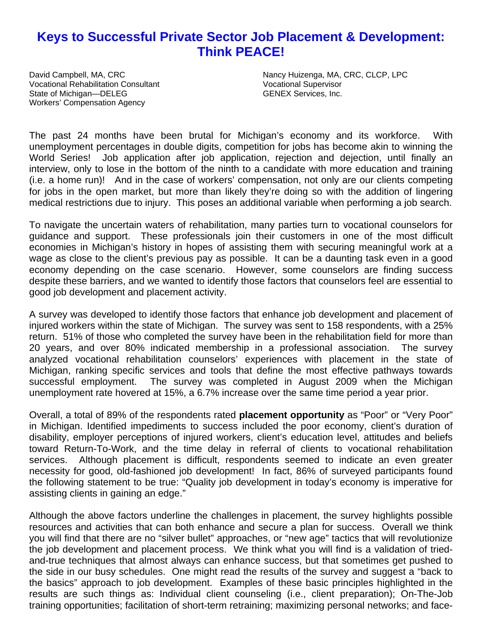# **Keys to Successful Private Sector Job Placement & Development: Think PEACE!**

Vocational Rehabilitation Consultant Vocational Supervisor State of Michigan—DELEG GENEX Services, Inc. Workers' Compensation Agency

David Campbell, MA, CRC Nancy Huizenga, MA, CRC, CLCP, LPC

The past 24 months have been brutal for Michigan's economy and its workforce. With unemployment percentages in double digits, competition for jobs has become akin to winning the World Series! Job application after job application, rejection and dejection, until finally an interview, only to lose in the bottom of the ninth to a candidate with more education and training (i.e. a home run)! And in the case of workers' compensation, not only are our clients competing for jobs in the open market, but more than likely they're doing so with the addition of lingering medical restrictions due to injury. This poses an additional variable when performing a job search.

To navigate the uncertain waters of rehabilitation, many parties turn to vocational counselors for guidance and support. These professionals join their customers in one of the most difficult economies in Michigan's history in hopes of assisting them with securing meaningful work at a wage as close to the client's previous pay as possible. It can be a daunting task even in a good economy depending on the case scenario. However, some counselors are finding success despite these barriers, and we wanted to identify those factors that counselors feel are essential to good job development and placement activity.

A survey was developed to identify those factors that enhance job development and placement of injured workers within the state of Michigan. The survey was sent to 158 respondents, with a 25% return. 51% of those who completed the survey have been in the rehabilitation field for more than 20 years, and over 80% indicated membership in a professional association. The survey analyzed vocational rehabilitation counselors' experiences with placement in the state of Michigan, ranking specific services and tools that define the most effective pathways towards successful employment. The survey was completed in August 2009 when the Michigan unemployment rate hovered at 15%, a 6.7% increase over the same time period a year prior.

Overall, a total of 89% of the respondents rated **placement opportunity** as "Poor" or "Very Poor" in Michigan. Identified impediments to success included the poor economy, client's duration of disability, employer perceptions of injured workers, client's education level, attitudes and beliefs toward Return-To-Work, and the time delay in referral of clients to vocational rehabilitation services. Although placement is difficult, respondents seemed to indicate an even greater necessity for good, old-fashioned job development! In fact, 86% of surveyed participants found the following statement to be true: "Quality job development in today's economy is imperative for assisting clients in gaining an edge."

Although the above factors underline the challenges in placement, the survey highlights possible resources and activities that can both enhance and secure a plan for success. Overall we think you will find that there are no "silver bullet" approaches, or "new age" tactics that will revolutionize the job development and placement process. We think what you will find is a validation of triedand-true techniques that almost always can enhance success, but that sometimes get pushed to the side in our busy schedules. One might read the results of the survey and suggest a "back to the basics" approach to job development. Examples of these basic principles highlighted in the results are such things as: Individual client counseling (i.e., client preparation); On-The-Job training opportunities; facilitation of short-term retraining; maximizing personal networks; and face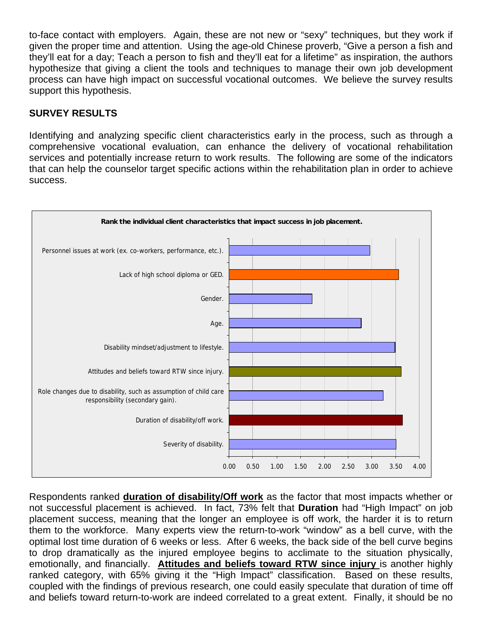to-face contact with employers. Again, these are not new or "sexy" techniques, but they work if given the proper time and attention. Using the age-old Chinese proverb, "Give a person a fish and they'll eat for a day; Teach a person to fish and they'll eat for a lifetime" as inspiration, the authors hypothesize that giving a client the tools and techniques to manage their own job development process can have high impact on successful vocational outcomes. We believe the survey results support this hypothesis.

### **SURVEY RESULTS**

Identifying and analyzing specific client characteristics early in the process, such as through a comprehensive vocational evaluation, can enhance the delivery of vocational rehabilitation services and potentially increase return to work results. The following are some of the indicators that can help the counselor target specific actions within the rehabilitation plan in order to achieve success.



Respondents ranked **duration of disability/Off work** as the factor that most impacts whether or not successful placement is achieved. In fact, 73% felt that **Duration** had "High Impact" on job placement success, meaning that the longer an employee is off work, the harder it is to return them to the workforce. Many experts view the return-to-work "window" as a bell curve, with the optimal lost time duration of 6 weeks or less. After 6 weeks, the back side of the bell curve begins to drop dramatically as the injured employee begins to acclimate to the situation physically, emotionally, and financially. **Attitudes and beliefs toward RTW since injury** is another highly ranked category, with 65% giving it the "High Impact" classification. Based on these results, coupled with the findings of previous research, one could easily speculate that duration of time off and beliefs toward return-to-work are indeed correlated to a great extent. Finally, it should be no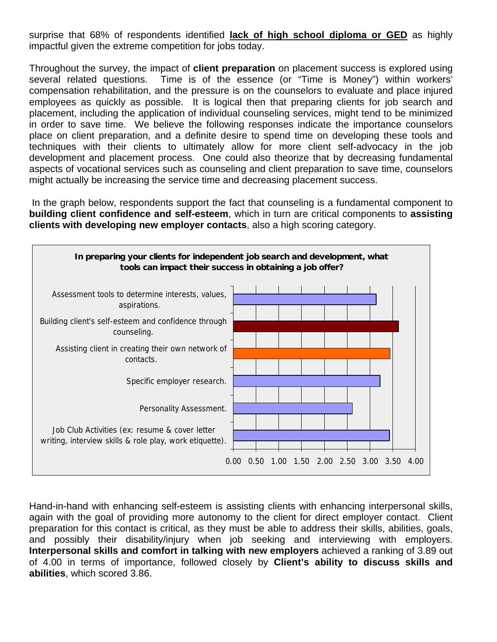surprise that 68% of respondents identified **lack of high school diploma or GED** as highly impactful given the extreme competition for jobs today.

Throughout the survey, the impact of **client preparation** on placement success is explored using several related questions. Time is of the essence (or "Time is Money") within workers' compensation rehabilitation, and the pressure is on the counselors to evaluate and place injured employees as quickly as possible. It is logical then that preparing clients for job search and placement, including the application of individual counseling services, might tend to be minimized in order to save time. We believe the following responses indicate the importance counselors place on client preparation, and a definite desire to spend time on developing these tools and techniques with their clients to ultimately allow for more client self-advocacy in the job development and placement process. One could also theorize that by decreasing fundamental aspects of vocational services such as counseling and client preparation to save time, counselors might actually be increasing the service time and decreasing placement success.

 In the graph below, respondents support the fact that counseling is a fundamental component to **building client confidence and self-esteem**, which in turn are critical components to **assisting clients with developing new employer contacts**, also a high scoring category.



Hand-in-hand with enhancing self-esteem is assisting clients with enhancing interpersonal skills, again with the goal of providing more autonomy to the client for direct employer contact. Client preparation for this contact is critical, as they must be able to address their skills, abilities, goals, and possibly their disability/injury when job seeking and interviewing with employers. **Interpersonal skills and comfort in talking with new employers** achieved a ranking of 3.89 out of 4.00 in terms of importance, followed closely by **Client's ability to discuss skills and abilities**, which scored 3.86.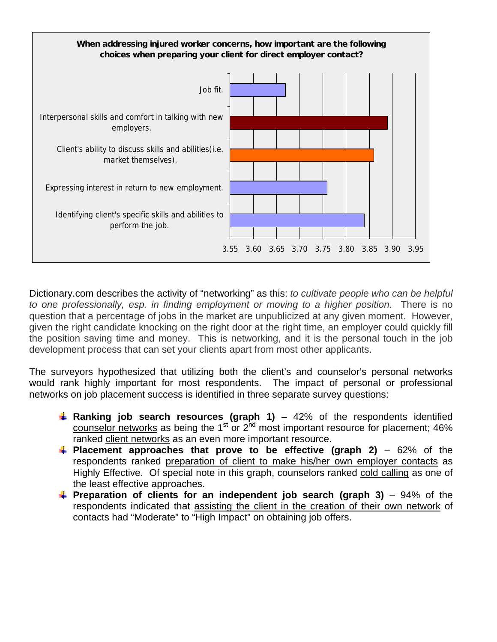

Dictionary.com describes the activity of "networking" as this: *to cultivate people who can be helpful to one professionally, esp. in finding employment or moving to a higher position*. There is no question that a percentage of jobs in the market are unpublicized at any given moment. However, given the right candidate knocking on the right door at the right time, an employer could quickly fill the position saving time and money. This is networking, and it is the personal touch in the job development process that can set your clients apart from most other applicants.

The surveyors hypothesized that utilizing both the client's and counselor's personal networks would rank highly important for most respondents. The impact of personal or professional networks on job placement success is identified in three separate survey questions:

- **Ranking job search resources (graph 1)** 42% of the respondents identified counselor networks as being the 1<sup>st</sup> or  $2<sup>nd</sup>$  most important resource for placement; 46% ranked client networks as an even more important resource.
- **Placement approaches that prove to be effective (graph 2)** 62% of the respondents ranked preparation of client to make his/her own employer contacts as Highly Effective. Of special note in this graph, counselors ranked cold calling as one of the least effective approaches.
- **Preparation of clients for an independent job search (graph 3)** 94% of the respondents indicated that assisting the client in the creation of their own network of contacts had "Moderate" to "High Impact" on obtaining job offers.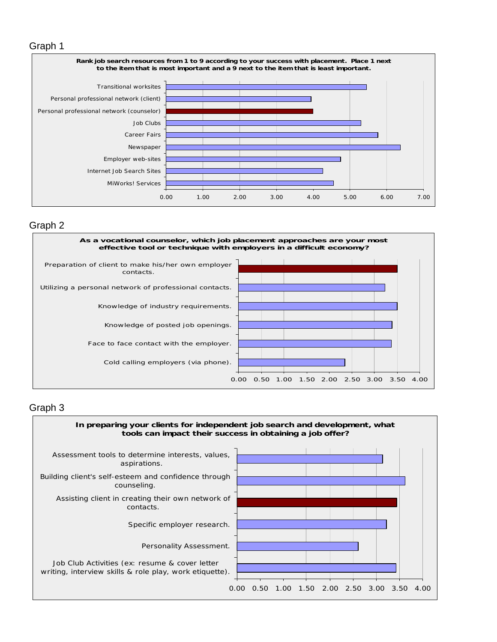#### Graph 1



#### Graph 2



#### Graph 3

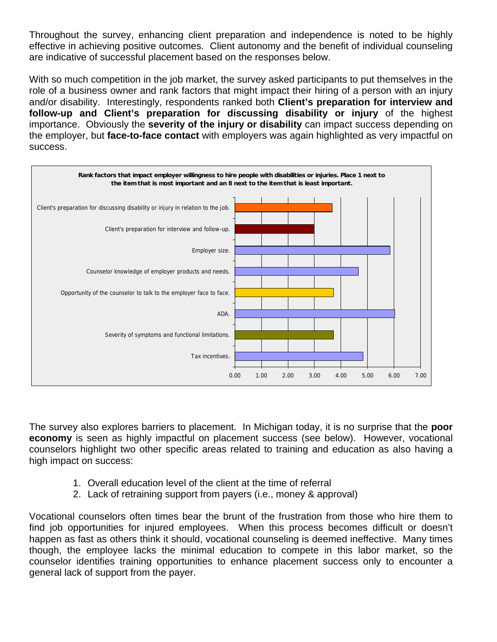Throughout the survey, enhancing client preparation and independence is noted to be highly effective in achieving positive outcomes. Client autonomy and the benefit of individual counseling are indicative of successful placement based on the responses below.

With so much competition in the job market, the survey asked participants to put themselves in the role of a business owner and rank factors that might impact their hiring of a person with an injury and/or disability. Interestingly, respondents ranked both **Client's preparation for interview and follow-up and Client's preparation for discussing disability or injury** of the highest importance. Obviously the **severity of the injury or disability** can impact success depending on the employer, but **face-to-face contact** with employers was again highlighted as very impactful on success.



The survey also explores barriers to placement. In Michigan today, it is no surprise that the **poor economy** is seen as highly impactful on placement success (see below). However, vocational counselors highlight two other specific areas related to training and education as also having a high impact on success:

- 1. Overall education level of the client at the time of referral
- 2. Lack of retraining support from payers (i.e., money & approval)

Vocational counselors often times bear the brunt of the frustration from those who hire them to find job opportunities for injured employees. When this process becomes difficult or doesn't happen as fast as others think it should, vocational counseling is deemed ineffective. Many times though, the employee lacks the minimal education to compete in this labor market, so the counselor identifies training opportunities to enhance placement success only to encounter a general lack of support from the payer.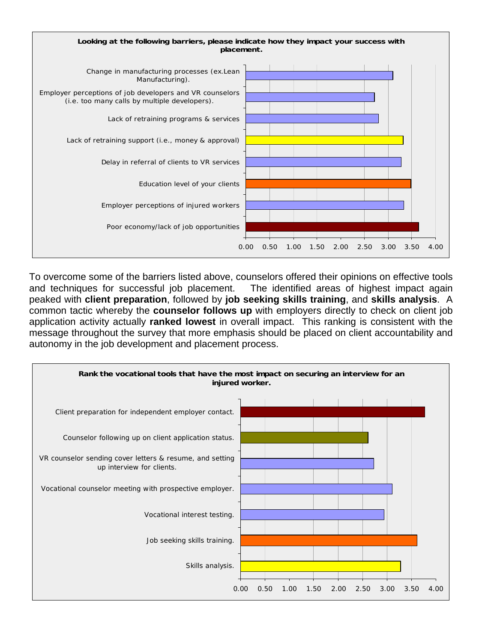

To overcome some of the barriers listed above, counselors offered their opinions on effective tools and techniques for successful job placement. The identified areas of highest impact again peaked with **client preparation**, followed by **job seeking skills training**, and **skills analysis**. A common tactic whereby the **counselor follows up** with employers directly to check on client job application activity actually **ranked lowest** in overall impact. This ranking is consistent with the message throughout the survey that more emphasis should be placed on client accountability and autonomy in the job development and placement process.

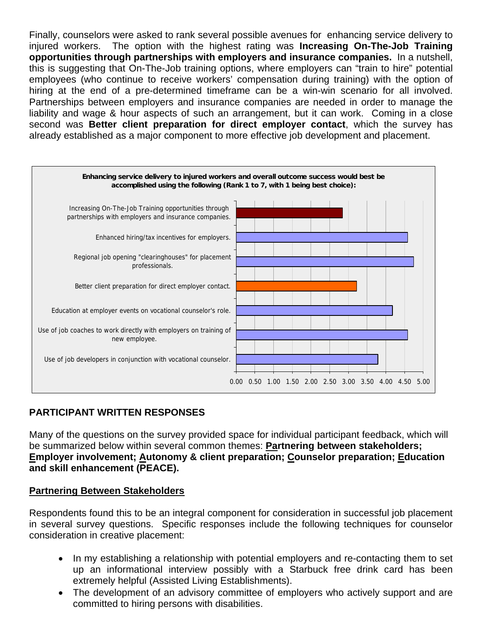Finally, counselors were asked to rank several possible avenues for enhancing service delivery to injured workers. The option with the highest rating was **Increasing On-The-Job Training opportunities through partnerships with employers and insurance companies.** In a nutshell, this is suggesting that On-The-Job training options, where employers can "train to hire" potential employees (who continue to receive workers' compensation during training) with the option of hiring at the end of a pre-determined timeframe can be a win-win scenario for all involved. Partnerships between employers and insurance companies are needed in order to manage the liability and wage & hour aspects of such an arrangement, but it can work. Coming in a close second was **Better client preparation for direct employer contact**, which the survey has already established as a major component to more effective job development and placement.



# **PARTICIPANT WRITTEN RESPONSES**

Many of the questions on the survey provided space for individual participant feedback, which will be summarized below within several common themes: **Partnering between stakeholders; Employer involvement; Autonomy & client preparation; Counselor preparation; Education and skill enhancement (PEACE).** 

### **Partnering Between Stakeholders**

Respondents found this to be an integral component for consideration in successful job placement in several survey questions. Specific responses include the following techniques for counselor consideration in creative placement:

- In my establishing a relationship with potential employers and re-contacting them to set up an informational interview possibly with a Starbuck free drink card has been extremely helpful (Assisted Living Establishments).
- The development of an advisory committee of employers who actively support and are committed to hiring persons with disabilities.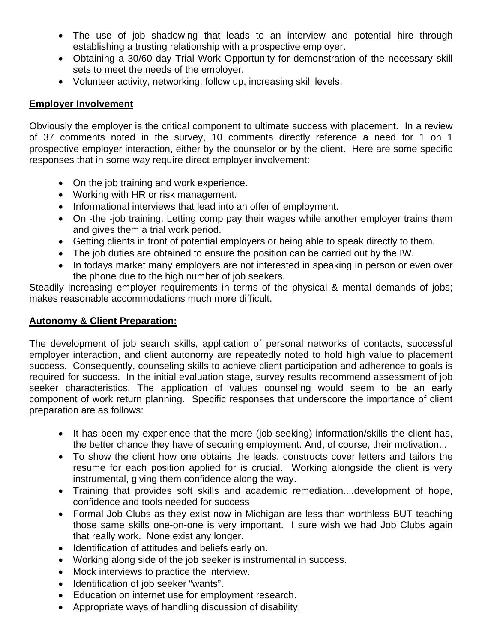- The use of job shadowing that leads to an interview and potential hire through establishing a trusting relationship with a prospective employer.
- Obtaining a 30/60 day Trial Work Opportunity for demonstration of the necessary skill sets to meet the needs of the employer.
- Volunteer activity, networking, follow up, increasing skill levels.

## **Employer Involvement**

Obviously the employer is the critical component to ultimate success with placement. In a review of 37 comments noted in the survey, 10 comments directly reference a need for 1 on 1 prospective employer interaction, either by the counselor or by the client. Here are some specific responses that in some way require direct employer involvement:

- On the job training and work experience.
- Working with HR or risk management.
- Informational interviews that lead into an offer of employment.
- On -the -job training. Letting comp pay their wages while another employer trains them and gives them a trial work period.
- Getting clients in front of potential employers or being able to speak directly to them.
- The job duties are obtained to ensure the position can be carried out by the IW.
- In todays market many employers are not interested in speaking in person or even over the phone due to the high number of job seekers.

Steadily increasing employer requirements in terms of the physical & mental demands of jobs; makes reasonable accommodations much more difficult.

### **Autonomy & Client Preparation:**

The development of job search skills, application of personal networks of contacts, successful employer interaction, and client autonomy are repeatedly noted to hold high value to placement success. Consequently, counseling skills to achieve client participation and adherence to goals is required for success. In the initial evaluation stage, survey results recommend assessment of job seeker characteristics. The application of values counseling would seem to be an early component of work return planning. Specific responses that underscore the importance of client preparation are as follows:

- It has been my experience that the more (job-seeking) information/skills the client has, the better chance they have of securing employment. And, of course, their motivation...
- To show the client how one obtains the leads, constructs cover letters and tailors the resume for each position applied for is crucial. Working alongside the client is very instrumental, giving them confidence along the way.
- Training that provides soft skills and academic remediation....development of hope, confidence and tools needed for success
- Formal Job Clubs as they exist now in Michigan are less than worthless BUT teaching those same skills one-on-one is very important. I sure wish we had Job Clubs again that really work. None exist any longer.
- Identification of attitudes and beliefs early on.
- Working along side of the job seeker is instrumental in success.
- Mock interviews to practice the interview.
- Identification of job seeker "wants".
- Education on internet use for employment research.
- Appropriate ways of handling discussion of disability.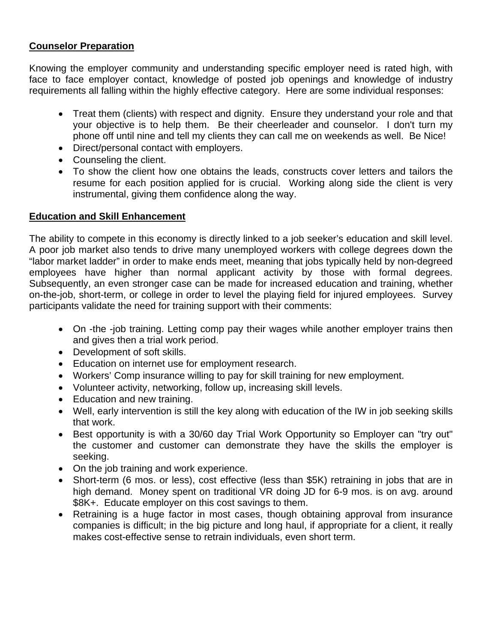### **Counselor Preparation**

Knowing the employer community and understanding specific employer need is rated high, with face to face employer contact, knowledge of posted job openings and knowledge of industry requirements all falling within the highly effective category. Here are some individual responses:

- Treat them (clients) with respect and dignity. Ensure they understand your role and that your objective is to help them. Be their cheerleader and counselor. I don't turn my phone off until nine and tell my clients they can call me on weekends as well. Be Nice!
- Direct/personal contact with employers.
- Counseling the client.
- To show the client how one obtains the leads, constructs cover letters and tailors the resume for each position applied for is crucial. Working along side the client is very instrumental, giving them confidence along the way.

#### **Education and Skill Enhancement**

The ability to compete in this economy is directly linked to a job seeker's education and skill level. A poor job market also tends to drive many unemployed workers with college degrees down the "labor market ladder" in order to make ends meet, meaning that jobs typically held by non-degreed employees have higher than normal applicant activity by those with formal degrees. Subsequently, an even stronger case can be made for increased education and training, whether on-the-job, short-term, or college in order to level the playing field for injured employees. Survey participants validate the need for training support with their comments:

- On -the -job training. Letting comp pay their wages while another employer trains then and gives then a trial work period.
- Development of soft skills.
- Education on internet use for employment research.
- Workers' Comp insurance willing to pay for skill training for new employment.
- Volunteer activity, networking, follow up, increasing skill levels.
- Education and new training.
- Well, early intervention is still the key along with education of the IW in job seeking skills that work.
- Best opportunity is with a 30/60 day Trial Work Opportunity so Employer can "try out" the customer and customer can demonstrate they have the skills the employer is seeking.
- On the job training and work experience.
- Short-term (6 mos. or less), cost effective (less than \$5K) retraining in jobs that are in high demand. Money spent on traditional VR doing JD for 6-9 mos. is on avg. around \$8K+. Educate employer on this cost savings to them.
- Retraining is a huge factor in most cases, though obtaining approval from insurance companies is difficult; in the big picture and long haul, if appropriate for a client, it really makes cost-effective sense to retrain individuals, even short term.